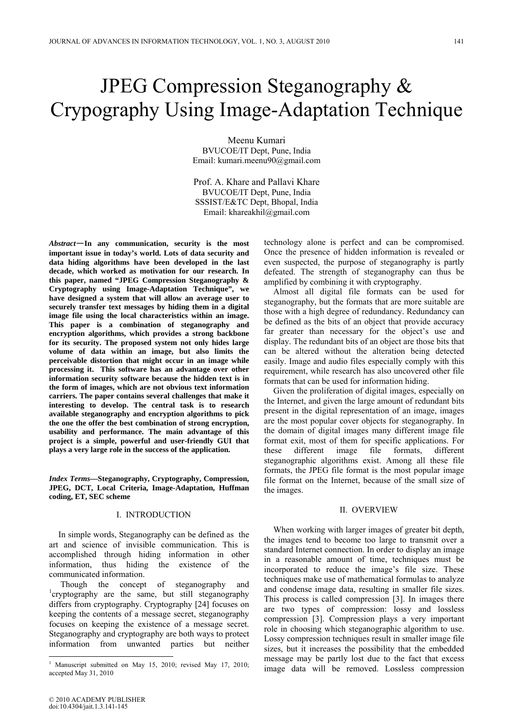# JPEG Compression Steganography & Crypography Using Image-Adaptation Technique

Meenu Kumari BVUCOE/IT Dept, Pune, India Email: kumari.meenu90@gmail.com

Prof. A. Khare and Pallavi Khare BVUCOE/IT Dept, Pune, India SSSIST/E&TC Dept, Bhopal, India Email: khareakhil@gmail.com

*Abstract*—**In any communication, security is the most important issue in today's world. Lots of data security and data hiding algorithms have been developed in the last decade, which worked as motivation for our research. In this paper, named "JPEG Compression Steganography & Cryptography using Image-Adaptation Technique", we have designed a system that will allow an average user to securely transfer text messages by hiding them in a digital image file using the local characteristics within an image. This paper is a combination of steganography and encryption algorithms, which provides a strong backbone for its security. The proposed system not only hides large volume of data within an image, but also limits the perceivable distortion that might occur in an image while processing it. This software has an advantage over other information security software because the hidden text is in the form of images, which are not obvious text information carriers. The paper contains several challenges that make it interesting to develop. The central task is to research available steganography and encryption algorithms to pick the one the offer the best combination of strong encryption, usability and performance. The main advantage of this project is a simple, powerful and user-friendly GUI that plays a very large role in the success of the application.** 

*Index Terms***—Steganography, Cryptography, Compression, JPEG, DCT, Local Criteria, Image-Adaptation, Huffman coding, ET, SEC scheme** 

## I. INTRODUCTION

In simple words, Steganography can be defined as the art and science of invisible communication. This is accomplished through hiding information in other information, thus hiding the existence of the communicated information.

Though the concept of steganography and  $\alpha$ <sup>1</sup>cryptography are the same, but still steganography differs from cryptography. Cryptography [24] focuses on keeping the contents of a message secret, steganography focuses on keeping the existence of a message secret. Steganography and cryptography are both ways to protect information from unwanted parties but neither

technology alone is perfect and can be compromised. Once the presence of hidden information is revealed or even suspected, the purpose of steganography is partly defeated. The strength of steganography can thus be amplified by combining it with cryptography.

Almost all digital file formats can be used for steganography, but the formats that are more suitable are those with a high degree of redundancy. Redundancy can be defined as the bits of an object that provide accuracy far greater than necessary for the object's use and display. The redundant bits of an object are those bits that can be altered without the alteration being detected easily. Image and audio files especially comply with this requirement, while research has also uncovered other file formats that can be used for information hiding.

Given the proliferation of digital images, especially on the Internet, and given the large amount of redundant bits present in the digital representation of an image, images are the most popular cover objects for steganography. In the domain of digital images many different image file format exit, most of them for specific applications. For these different image file formats, different steganographic algorithms exist. Among all these file formats, the JPEG file format is the most popular image file format on the Internet, because of the small size of the images.

### II. OVERVIEW

When working with larger images of greater bit depth, the images tend to become too large to transmit over a standard Internet connection. In order to display an image in a reasonable amount of time, techniques must be incorporated to reduce the image's file size. These techniques make use of mathematical formulas to analyze and condense image data, resulting in smaller file sizes. This process is called compression [3]. In images there are two types of compression: lossy and lossless compression [3]. Compression plays a very important role in choosing which steganographic algorithm to use. Lossy compression techniques result in smaller image file sizes, but it increases the possibility that the embedded message may be partly lost due to the fact that excess image data will be removed. Lossless compression

<sup>1</sup> Manuscript submitted on May 15, 2010; revised May 17, 2010; accepted May 31, 2010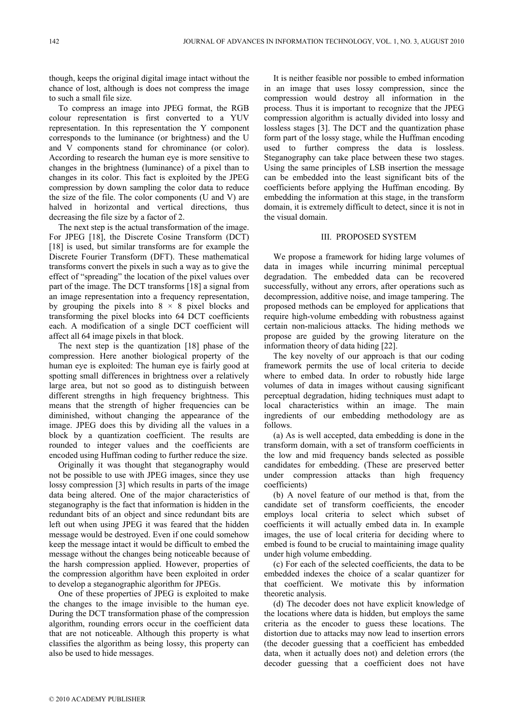though, keeps the original digital image intact without the chance of lost, although is does not compress the image to such a small file size.

To compress an image into JPEG format, the RGB colour representation is first converted to a YUV representation. In this representation the Y component corresponds to the luminance (or brightness) and the U and V components stand for chrominance (or color). According to research the human eye is more sensitive to changes in the brightness (luminance) of a pixel than to changes in its color. This fact is exploited by the JPEG compression by down sampling the color data to reduce the size of the file. The color components (U and V) are halved in horizontal and vertical directions, thus decreasing the file size by a factor of 2.

The next step is the actual transformation of the image. For JPEG [18], the Discrete Cosine Transform (DCT) [18] is used, but similar transforms are for example the Discrete Fourier Transform (DFT). These mathematical transforms convert the pixels in such a way as to give the effect of "spreading" the location of the pixel values over part of the image. The DCT transforms [18] a signal from an image representation into a frequency representation, by grouping the pixels into  $8 \times 8$  pixel blocks and transforming the pixel blocks into 64 DCT coefficients each. A modification of a single DCT coefficient will affect all 64 image pixels in that block.

The next step is the quantization [18] phase of the compression. Here another biological property of the human eye is exploited: The human eye is fairly good at spotting small differences in brightness over a relatively large area, but not so good as to distinguish between different strengths in high frequency brightness. This means that the strength of higher frequencies can be diminished, without changing the appearance of the image. JPEG does this by dividing all the values in a block by a quantization coefficient. The results are rounded to integer values and the coefficients are encoded using Huffman coding to further reduce the size.

Originally it was thought that steganography would not be possible to use with JPEG images, since they use lossy compression [3] which results in parts of the image data being altered. One of the major characteristics of steganography is the fact that information is hidden in the redundant bits of an object and since redundant bits are left out when using JPEG it was feared that the hidden message would be destroyed. Even if one could somehow keep the message intact it would be difficult to embed the message without the changes being noticeable because of the harsh compression applied. However, properties of the compression algorithm have been exploited in order to develop a steganographic algorithm for JPEGs.

One of these properties of JPEG is exploited to make the changes to the image invisible to the human eye. During the DCT transformation phase of the compression algorithm, rounding errors occur in the coefficient data that are not noticeable. Although this property is what classifies the algorithm as being lossy, this property can also be used to hide messages.

It is neither feasible nor possible to embed information in an image that uses lossy compression, since the compression would destroy all information in the process. Thus it is important to recognize that the JPEG compression algorithm is actually divided into lossy and lossless stages [3]. The DCT and the quantization phase form part of the lossy stage, while the Huffman encoding used to further compress the data is lossless. Steganography can take place between these two stages. Using the same principles of LSB insertion the message can be embedded into the least significant bits of the coefficients before applying the Huffman encoding. By embedding the information at this stage, in the transform domain, it is extremely difficult to detect, since it is not in the visual domain.

## III. PROPOSED SYSTEM

We propose a framework for hiding large volumes of data in images while incurring minimal perceptual degradation. The embedded data can be recovered successfully, without any errors, after operations such as decompression, additive noise, and image tampering. The proposed methods can be employed for applications that require high-volume embedding with robustness against certain non-malicious attacks. The hiding methods we propose are guided by the growing literature on the information theory of data hiding [22].

The key novelty of our approach is that our coding framework permits the use of local criteria to decide where to embed data. In order to robustly hide large volumes of data in images without causing significant perceptual degradation, hiding techniques must adapt to local characteristics within an image. The main ingredients of our embedding methodology are as follows.

(a) As is well accepted, data embedding is done in the transform domain, with a set of transform coefficients in the low and mid frequency bands selected as possible candidates for embedding. (These are preserved better under compression attacks than high frequency coefficients)

(b) A novel feature of our method is that, from the candidate set of transform coefficients, the encoder employs local criteria to select which subset of coefficients it will actually embed data in. In example images, the use of local criteria for deciding where to embed is found to be crucial to maintaining image quality under high volume embedding.

(c) For each of the selected coefficients, the data to be embedded indexes the choice of a scalar quantizer for that coefficient. We motivate this by information theoretic analysis.

(d) The decoder does not have explicit knowledge of the locations where data is hidden, but employs the same criteria as the encoder to guess these locations. The distortion due to attacks may now lead to insertion errors (the decoder guessing that a coefficient has embedded data, when it actually does not) and deletion errors (the decoder guessing that a coefficient does not have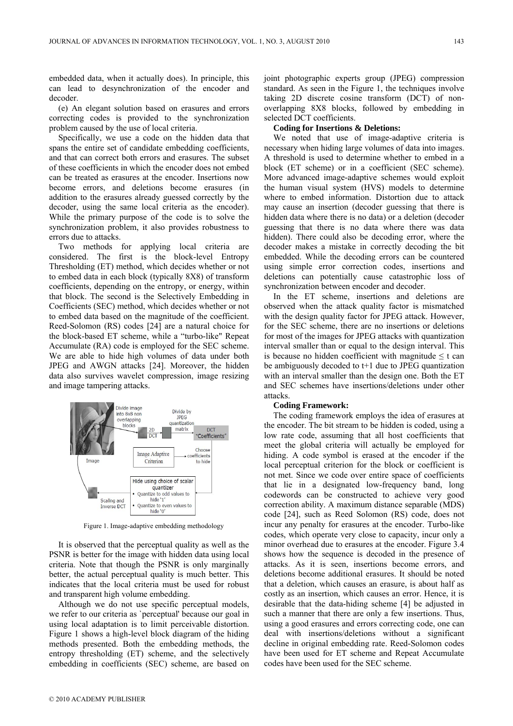embedded data, when it actually does). In principle, this can lead to desynchronization of the encoder and decoder.

(e) An elegant solution based on erasures and errors correcting codes is provided to the synchronization problem caused by the use of local criteria.

Specifically, we use a code on the hidden data that spans the entire set of candidate embedding coefficients, and that can correct both errors and erasures. The subset of these coefficients in which the encoder does not embed can be treated as erasures at the encoder. Insertions now become errors, and deletions become erasures (in addition to the erasures already guessed correctly by the decoder, using the same local criteria as the encoder). While the primary purpose of the code is to solve the synchronization problem, it also provides robustness to errors due to attacks.

Two methods for applying local criteria are considered. The first is the block-level Entropy Thresholding (ET) method, which decides whether or not to embed data in each block (typically 8X8) of transform coefficients, depending on the entropy, or energy, within that block. The second is the Selectively Embedding in Coefficients (SEC) method, which decides whether or not to embed data based on the magnitude of the coefficient. Reed-Solomon (RS) codes [24] are a natural choice for the block-based ET scheme, while a "turbo-like" Repeat Accumulate (RA) code is employed for the SEC scheme. We are able to hide high volumes of data under both JPEG and AWGN attacks [24]. Moreover, the hidden data also survives wavelet compression, image resizing and image tampering attacks.



Figure 1. Image-adaptive embedding methodology

It is observed that the perceptual quality as well as the PSNR is better for the image with hidden data using local criteria. Note that though the PSNR is only marginally better, the actual perceptual quality is much better. This indicates that the local criteria must be used for robust and transparent high volume embedding.

Although we do not use specific perceptual models, we refer to our criteria as `perceptual' because our goal in using local adaptation is to limit perceivable distortion. Figure 1 shows a high-level block diagram of the hiding methods presented. Both the embedding methods, the entropy thresholding (ET) scheme, and the selectively embedding in coefficients (SEC) scheme, are based on joint photographic experts group (JPEG) compression standard. As seen in the Figure 1, the techniques involve taking 2D discrete cosine transform (DCT) of nonoverlapping 8X8 blocks, followed by embedding in selected DCT coefficients.

# **Coding for Insertions & Deletions:**

We noted that use of image-adaptive criteria is necessary when hiding large volumes of data into images. A threshold is used to determine whether to embed in a block (ET scheme) or in a coefficient (SEC scheme). More advanced image-adaptive schemes would exploit the human visual system (HVS) models to determine where to embed information. Distortion due to attack may cause an insertion (decoder guessing that there is hidden data where there is no data) or a deletion (decoder guessing that there is no data where there was data hidden). There could also be decoding error, where the decoder makes a mistake in correctly decoding the bit embedded. While the decoding errors can be countered using simple error correction codes, insertions and deletions can potentially cause catastrophic loss of synchronization between encoder and decoder.

In the ET scheme, insertions and deletions are observed when the attack quality factor is mismatched with the design quality factor for JPEG attack. However, for the SEC scheme, there are no insertions or deletions for most of the images for JPEG attacks with quantization interval smaller than or equal to the design interval. This is because no hidden coefficient with magnitude  $\leq t$  can be ambiguously decoded to t+1 due to JPEG quantization with an interval smaller than the design one. Both the ET and SEC schemes have insertions/deletions under other attacks.

#### **Coding Framework:**

The coding framework employs the idea of erasures at the encoder. The bit stream to be hidden is coded, using a low rate code, assuming that all host coefficients that meet the global criteria will actually be employed for hiding. A code symbol is erased at the encoder if the local perceptual criterion for the block or coefficient is not met. Since we code over entire space of coefficients that lie in a designated low-frequency band, long codewords can be constructed to achieve very good correction ability. A maximum distance separable (MDS) code [24], such as Reed Solomon (RS) code, does not incur any penalty for erasures at the encoder. Turbo-like codes, which operate very close to capacity, incur only a minor overhead due to erasures at the encoder. Figure 3.4 shows how the sequence is decoded in the presence of attacks. As it is seen, insertions become errors, and deletions become additional erasures. It should be noted that a deletion, which causes an erasure, is about half as costly as an insertion, which causes an error. Hence, it is desirable that the data-hiding scheme [4] be adjusted in such a manner that there are only a few insertions. Thus, using a good erasures and errors correcting code, one can deal with insertions/deletions without a significant decline in original embedding rate. Reed-Solomon codes have been used for ET scheme and Repeat Accumulate codes have been used for the SEC scheme.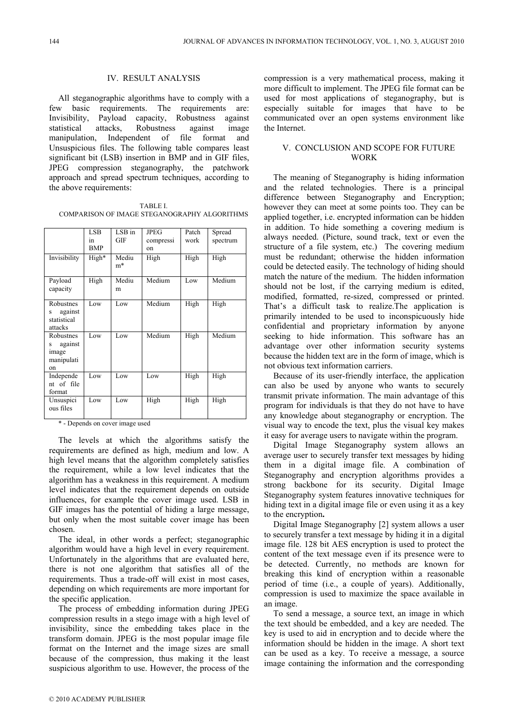## IV. RESULT ANALYSIS

All steganographic algorithms have to comply with a few basic requirements. The requirements are: Invisibility, Payload capacity, Robustness against statistical attacks, Robustness against image manipulation, Independent of file format and Unsuspicious files. The following table compares least significant bit (LSB) insertion in BMP and in GIF files, JPEG compression steganography, the patchwork approach and spread spectrum techniques, according to the above requirements:

TABLE I. COMPARISON OF IMAGE STEGANOGRAPHY ALGORITHMS

|                                                        | <b>LSB</b><br>1n<br><b>BMP</b> | LSB in<br>GIF | JPEG<br>compressi<br>on | Patch<br>work | Spread<br>spectrum |
|--------------------------------------------------------|--------------------------------|---------------|-------------------------|---------------|--------------------|
| Invisibility                                           | High*                          | Mediu<br>m*   | High                    | High          | High               |
| Payload<br>capacity                                    | High                           | Mediu<br>m    | Medium                  | Low           | Medium             |
| Robustnes<br>against<br>S<br>statistical<br>attacks    | Low                            | Low           | Medium                  | High          | High               |
| Robustnes<br>against<br>S<br>image<br>manipulati<br>on | Low                            | Low           | Medium                  | High          | Medium             |
| Independe<br>nt of file<br>format                      | Low                            | Low           | Low                     | High          | High               |
| Unsuspici<br>ous files                                 | Low                            | Low           | High                    | High          | High               |

\* - Depends on cover image used

The levels at which the algorithms satisfy the requirements are defined as high, medium and low. A high level means that the algorithm completely satisfies the requirement, while a low level indicates that the algorithm has a weakness in this requirement. A medium level indicates that the requirement depends on outside influences, for example the cover image used. LSB in GIF images has the potential of hiding a large message, but only when the most suitable cover image has been chosen.

The ideal, in other words a perfect; steganographic algorithm would have a high level in every requirement. Unfortunately in the algorithms that are evaluated here, there is not one algorithm that satisfies all of the requirements. Thus a trade-off will exist in most cases, depending on which requirements are more important for the specific application.

The process of embedding information during JPEG compression results in a stego image with a high level of invisibility, since the embedding takes place in the transform domain. JPEG is the most popular image file format on the Internet and the image sizes are small because of the compression, thus making it the least suspicious algorithm to use. However, the process of the

compression is a very mathematical process, making it more difficult to implement. The JPEG file format can be used for most applications of steganography, but is especially suitable for images that have to be communicated over an open systems environment like the Internet.

# V. CONCLUSION AND SCOPE FOR FUTURE WORK

The meaning of Steganography is hiding information and the related technologies. There is a principal difference between Steganography and Encryption; however they can meet at some points too. They can be applied together, i.e. encrypted information can be hidden in addition. To hide something a covering medium is always needed. (Picture, sound track, text or even the structure of a file system, etc.) The covering medium must be redundant; otherwise the hidden information could be detected easily. The technology of hiding should match the nature of the medium. The hidden information should not be lost, if the carrying medium is edited, modified, formatted, re-sized, compressed or printed. That's a difficult task to realize.The application is primarily intended to be used to inconspicuously hide confidential and proprietary information by anyone seeking to hide information. This software has an advantage over other information security systems because the hidden text are in the form of image, which is not obvious text information carriers.

Because of its user-friendly interface, the application can also be used by anyone who wants to securely transmit private information. The main advantage of this program for individuals is that they do not have to have any knowledge about steganography or encryption. The visual way to encode the text, plus the visual key makes it easy for average users to navigate within the program.

Digital Image Steganography system allows an average user to securely transfer text messages by hiding them in a digital image file. A combination of Steganography and encryption algorithms provides a strong backbone for its security. Digital Image Steganography system features innovative techniques for hiding text in a digital image file or even using it as a key to the encryption**.** 

Digital Image Steganography [2] system allows a user to securely transfer a text message by hiding it in a digital image file. 128 bit AES encryption is used to protect the content of the text message even if its presence were to be detected. Currently, no methods are known for breaking this kind of encryption within a reasonable period of time (i.e., a couple of years). Additionally, compression is used to maximize the space available in an image.

To send a message, a source text, an image in which the text should be embedded, and a key are needed. The key is used to aid in encryption and to decide where the information should be hidden in the image. A short text can be used as a key. To receive a message, a source image containing the information and the corresponding